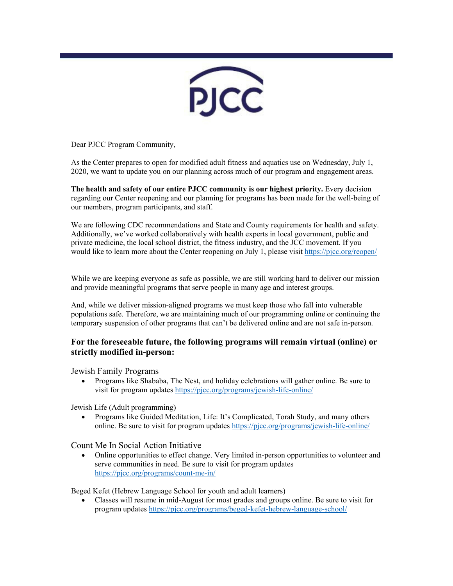

Dear PJCC Program Community,

As the Center prepares to open for modified adult fitness and aquatics use on Wednesday, July 1, 2020, we want to update you on our planning across much of our program and engagement areas.

**The health and safety of our entire PJCC community is our highest priority.** Every decision regarding our Center reopening and our planning for programs has been made for the well-being of our members, program participants, and staff.

We are following CDC recommendations and State and County requirements for health and safety.  Additionally, we've worked collaboratively with health experts in local government, public and private medicine, the local school district, the fitness industry, and the JCC movement. If you would like to learn more about the Center reopening on July 1, please visit [https://pjcc.org/reopen/](https://pjcc.acemlna.com/lt.php?s=c42fd1951155c949e7ef75aacbebeb55&i=264A562A132A2161)

While we are keeping everyone as safe as possible, we are still working hard to deliver our mission and provide meaningful programs that serve people in many age and interest groups.

And, while we deliver mission-aligned programs we must keep those who fall into vulnerable populations safe. Therefore, we are maintaining much of our programming online or continuing the temporary suspension of other programs that can't be delivered online and are not safe in-person.

## **For the foreseeable future, the following programs will remain virtual (online) or strictly modified in-person:**

Jewish Family Programs

• Programs like Shababa, The Nest, and holiday celebrations will gather online. Be sure to visit for program updates [https://pjcc.org/programs/jewish-life-online/](https://pjcc.acemlna.com/lt.php?s=c42fd1951155c949e7ef75aacbebeb55&i=264A562A132A2172)

Jewish Life (Adult programming)

• Programs like Guided Meditation, Life: It's Complicated, Torah Study, and many others online. Be sure to visit for program updates [https://pjcc.org/programs/jewish-life-online/](https://pjcc.acemlna.com/lt.php?s=c42fd1951155c949e7ef75aacbebeb55&i=264A562A132A2172)

Count Me In Social Action Initiative

• Online opportunities to effect change. Very limited in-person opportunities to volunteer and serve communities in need. Be sure to visit for program updates [https://pjcc.org/programs/count-me-in/](https://pjcc.acemlna.com/lt.php?s=c42fd1951155c949e7ef75aacbebeb55&i=264A562A132A2173)

Beged Kefet (Hebrew Language School for youth and adult learners)

• Classes will resume in mid-August for most grades and groups online. Be sure to visit for program updates [https://pjcc.org/programs/beged-kefet-hebrew-language-school/](https://pjcc.acemlna.com/lt.php?s=c42fd1951155c949e7ef75aacbebeb55&i=264A562A132A2189)